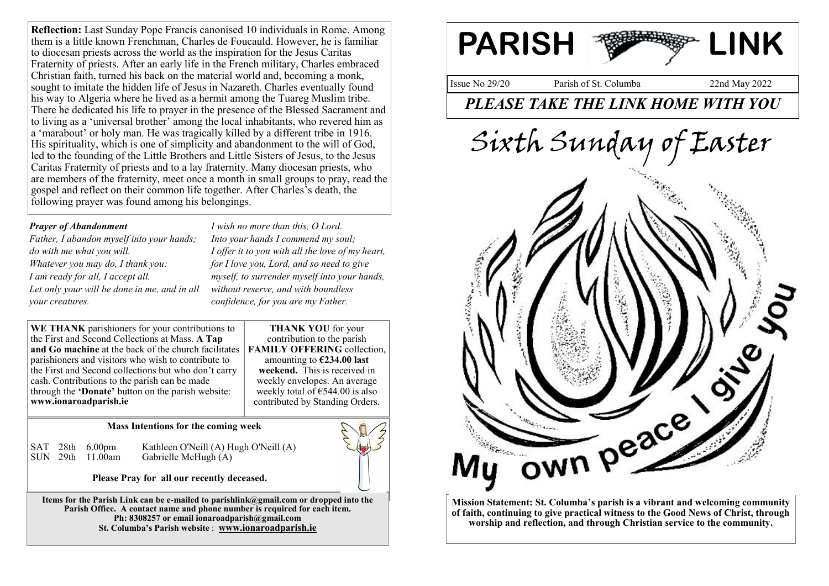**Reflection:** Last Sunday Pope Francis canonised 10 individuals in Rome. Among them is a little known Frenchman, Charles de Foucauld. However, he is familiar to diocesan priests across the world as the inspiration for the Jesus Caritas Fraternity of priests. After an early life in the French military, Charles embraced Christian faith, turned his back on the material world and, becoming a monk, sought to imitate the hidden life of Jesus in Nazareth. Charles eventually found his way to Algeria where he lived as a hermit among the Tuareg Muslim tribe. There he dedicated his life to prayer in the presence of the Blessed Sacrament and to living as a 'universal brother' among the local inhabitants, who revered him as a 'marabout' or holy man. He was tragically killed by a different tribe in 1916. His spirituality, which is one of simplicity and abandonment to the will of God, led to the founding of the Little Brothers and Little Sisters of Jesus, to the Jesus Caritas Fraternity of priests and to a lay fraternity. Many diocesan priests, who are members of the fraternity, meet once a month in small groups to pray, read the gospel and reflect on their common life together. After Charles's death, the following prayer was found among his belongings.

## *Prayer of Abandonment*

*Father, I abandon myself into your hands; do with me what you will. Whatever you may do, I thank you: I am ready for all, I accept all. Let only your will be done in me, and in all your creatures.*

*I wish no more than this, O Lord. Into your hands I commend my soul; I offer it to you with all the love of my heart, for I love you, Lord, and so need to give myself, to surrender myself into your hands, without reserve, and with boundless confidence, for you are my Father.*

**WE THANK** parishioners for your contributions to the First and Second Collections at Mass. **A Tap and Go machine** at the back of the church facilitates **FAMILY OFFERING** collection, parishioners and visitors who wish to contribute to the First and Second collections but who don't carry cash. Contributions to the parish can be made through the **'Donate'** button on the parish website: **www.ionaroadparish.ie**

**THANK YOU** for your contribution to the parish amounting to **€234.00 last weekend.** This is received in weekly envelopes. An average weekly total of  $\epsilon$ 544.00 is also contributed by Standing Orders.

## **Mass Intentions for the coming week**

SAT 28th 6.00pm Kathleen O'Neill (A) Hugh O'Neill (A)<br>SUN 29th 11.00am Gabrielle McHugh (A) Gabrielle McHugh (A)

**Please Pray for all our recently deceased.**

**Items for the Parish Link can be e-mailed to parishlink@gmail.com or dropped into the**  Parish Office. A contact name and phone number is required for each item. **Ph: 8308257 or email ionaroadparish@gmail.com St. Columba's Parish website** : **www.ionaroadparish.ie**